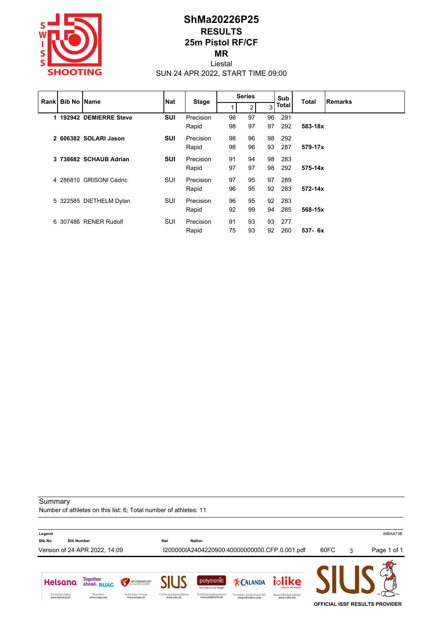

## **ShMa20226P25 RESULTS 25m Pistol RF/CF MR** Liestal

SUN 24 APR 2022, START TIME 09:00

|  | <b>Rankl Bib No IName</b> |                         | <b>Nat</b> | <b>Stage</b> | <b>Series</b> |    |    | Sub<br>Total |             | Remarks |
|--|---------------------------|-------------------------|------------|--------------|---------------|----|----|--------------|-------------|---------|
|  |                           |                         |            |              |               | 2  | 3  | Total        |             |         |
|  |                           | 1 192942 DEMIERRE Steve | <b>SUI</b> | Precision    | 98            | 97 | 96 | 291          |             |         |
|  |                           |                         |            | Rapid        | 98            | 97 | 97 | 292          | 583-18x     |         |
|  |                           | 2 606382 SOLARI Jason   | <b>SUI</b> | Precision    | 98            | 96 | 98 | -292         |             |         |
|  |                           |                         |            | Rapid        | 98            | 96 | 93 | 287          | 579-17x     |         |
|  |                           | 3 738682 SCHAUB Adrian  | <b>SUI</b> | Precision    | 91            | 94 | 98 | -283         |             |         |
|  |                           |                         |            | Rapid        | 97            | 97 | 98 | 292          | 575-14x     |         |
|  |                           | 4 286810 GRISONI Cédric | SUI        | Precision    | 97            | 95 | 97 | 289          |             |         |
|  |                           |                         |            | Rapid        | 96            | 95 | 92 | 283          | $572 - 14x$ |         |
|  |                           | 5 322585 DIETHELM Dylan | SUI        | Precision    | 96            | 95 | 92 | 283          |             |         |
|  |                           |                         |            | Rapid        | 92            | 99 | 94 | 285          | 568-15x     |         |
|  |                           | 6 307486 RENER Rudolf   | SUI        | Precision    | 91            | 93 | 93 | 277          |             |         |
|  |                           |                         |            | Rapid        | 75            | 93 | 92 | 260          | $537 - 6x$  |         |

**Summary** 

Number of athletes on this list: 6; Total number of athletes: 11

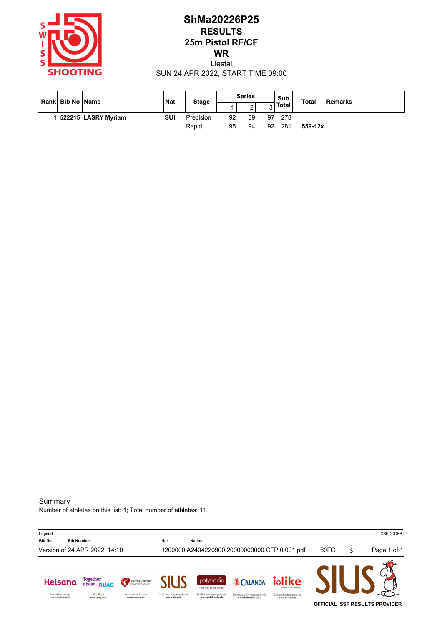

# **ShMa20226P25 RESULTS 25m Pistol RF/CF WR** Liestal

SUN 24 APR 2022, START TIME 09:00

|  | Rankl Bib No IName |                     | Nat | <b>Stage</b> | <b>Series</b>  |             |     | Sub          | <b>Total</b> | Remarks |
|--|--------------------|---------------------|-----|--------------|----------------|-------------|-----|--------------|--------------|---------|
|  |                    |                     |     |              |                | $\sim$<br>▵ | ັ   | <b>Total</b> |              |         |
|  |                    | 522215 LASRY Myriam | SUI | Precision    | 92             | 89          | 97  | 278          |              |         |
|  |                    |                     |     | Rapid        | 95<br>92<br>94 |             | 281 | $559 - 12x$  |              |         |

#### **Summary**

Number of athletes on this list: 1; Total number of athletes: 11

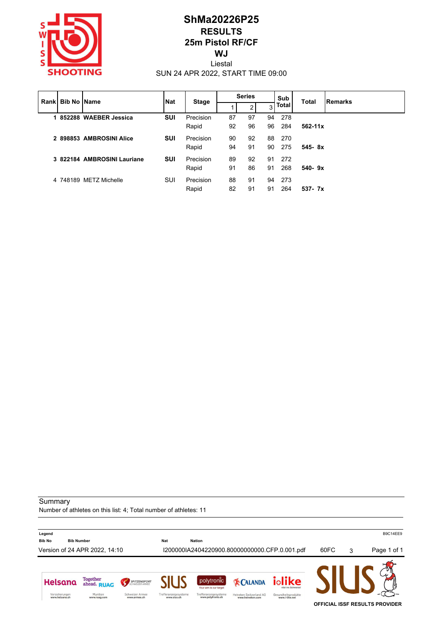

# **ShMa20226P25 RESULTS 25m Pistol RF/CF WJ** Liestal

SUN 24 APR 2022, START TIME 09:00

|  |  | <b>Rankl Bib No Name</b>    | <b>Nat</b> | <b>Stage</b> | <b>Series</b> |    |    | Sub<br><b>Total</b> | <b>Remarks</b> |  |
|--|--|-----------------------------|------------|--------------|---------------|----|----|---------------------|----------------|--|
|  |  |                             |            |              |               |    | 3  | Total               |                |  |
|  |  | 1 852288 WAEBER Jessica     | <b>SUI</b> | Precision    | 87            | 97 | 94 | 278                 |                |  |
|  |  |                             |            | Rapid        | 92            | 96 | 96 | 284                 | $562 - 11x$    |  |
|  |  | 2 898853 AMBROSINI Alice    | <b>SUI</b> | Precision    | 90            | 92 | 88 | 270                 |                |  |
|  |  |                             |            | Rapid        | 94            | 91 | 90 | 275                 | $545 - 8x$     |  |
|  |  | 3 822184 AMBROSINI Lauriane | <b>SUI</b> | Precision    | 89            | 92 | 91 | 272                 |                |  |
|  |  |                             |            | Rapid        | 91            | 86 | 91 | 268                 | $540 - 9x$     |  |
|  |  | 4 748189 METZ Michelle      | SUI        | Precision    | 88            | 91 | 94 | 273                 |                |  |
|  |  |                             |            | Rapid        | 82            | 91 | 91 | 264                 | $537 - 7x$     |  |

**Summary** 

Number of athletes on this list: 4; Total number of athletes: 11

**Legend** B9C14EE9 **Bib No Bib Number Nat Nation** Version of 24 APR 2022, 14:10 I200000IA2404220900.80000000000.CFP.0.001.pdf 60FC 3 Page 1 of 1 Helsana Together<br>ahead. RUAG iolike polytronic SPITZENSPORT **EX CALANDA** Your aim is our targe Versicherungen<br>www.helsana.ch Munition<br>www.ruag.com Schweizer Armee<br>www.armee.ch Trefferanzeigesysteme<br>www.sius.ch Trefferanzeigesysteme<br>www.polytronic.ch Heineken Switzerland AG<br>www.heineken.com Gesundheitsprodukte<br>www.i-like.net **OFFICIAL ISSF RESULTS PROVIDER**